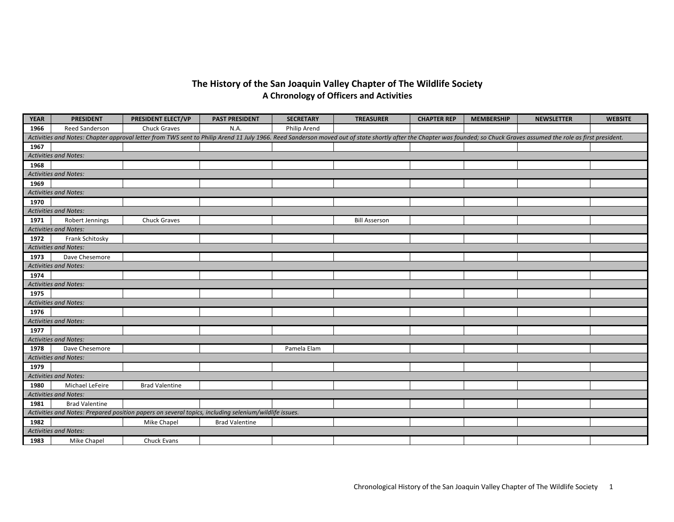## **The History of the San Joaquin Valley Chapter of The Wildlife Society A Chronology of Officers and Activities**

| <b>YEAR</b>                                                                                                                                                                                                             | <b>PRESIDENT</b>             | PRESIDENT ELECT/VP    | <b>PAST PRESIDENT</b> | <b>SECRETARY</b> | <b>TREASURER</b>     | <b>CHAPTER REP</b> | <b>MEMBERSHIP</b> | <b>NEWSLETTER</b> | <b>WEBSITE</b> |  |
|-------------------------------------------------------------------------------------------------------------------------------------------------------------------------------------------------------------------------|------------------------------|-----------------------|-----------------------|------------------|----------------------|--------------------|-------------------|-------------------|----------------|--|
| 1966                                                                                                                                                                                                                    | <b>Reed Sanderson</b>        | <b>Chuck Graves</b>   | N.A.                  | Philip Arend     |                      |                    |                   |                   |                |  |
| Activities and Notes: Chapter approval letter from TWS sent to Philip Arend 11 July 1966. Reed Sanderson moved out of state shortly after the Chapter was founded; so Chuck Graves assumed the role as first president. |                              |                       |                       |                  |                      |                    |                   |                   |                |  |
| 1967                                                                                                                                                                                                                    |                              |                       |                       |                  |                      |                    |                   |                   |                |  |
|                                                                                                                                                                                                                         | <b>Activities and Notes:</b> |                       |                       |                  |                      |                    |                   |                   |                |  |
| 1968                                                                                                                                                                                                                    |                              |                       |                       |                  |                      |                    |                   |                   |                |  |
|                                                                                                                                                                                                                         | <b>Activities and Notes:</b> |                       |                       |                  |                      |                    |                   |                   |                |  |
| 1969                                                                                                                                                                                                                    |                              |                       |                       |                  |                      |                    |                   |                   |                |  |
|                                                                                                                                                                                                                         | <b>Activities and Notes:</b> |                       |                       |                  |                      |                    |                   |                   |                |  |
| 1970                                                                                                                                                                                                                    |                              |                       |                       |                  |                      |                    |                   |                   |                |  |
|                                                                                                                                                                                                                         | <b>Activities and Notes:</b> |                       |                       |                  |                      |                    |                   |                   |                |  |
| 1971                                                                                                                                                                                                                    | Robert Jennings              | <b>Chuck Graves</b>   |                       |                  | <b>Bill Asserson</b> |                    |                   |                   |                |  |
|                                                                                                                                                                                                                         | <b>Activities and Notes:</b> |                       |                       |                  |                      |                    |                   |                   |                |  |
| 1972                                                                                                                                                                                                                    | Frank Schitosky              |                       |                       |                  |                      |                    |                   |                   |                |  |
|                                                                                                                                                                                                                         | <b>Activities and Notes:</b> |                       |                       |                  |                      |                    |                   |                   |                |  |
| 1973                                                                                                                                                                                                                    | Dave Chesemore               |                       |                       |                  |                      |                    |                   |                   |                |  |
|                                                                                                                                                                                                                         | <b>Activities and Notes:</b> |                       |                       |                  |                      |                    |                   |                   |                |  |
| 1974                                                                                                                                                                                                                    |                              |                       |                       |                  |                      |                    |                   |                   |                |  |
|                                                                                                                                                                                                                         | <b>Activities and Notes:</b> |                       |                       |                  |                      |                    |                   |                   |                |  |
| 1975                                                                                                                                                                                                                    |                              |                       |                       |                  |                      |                    |                   |                   |                |  |
|                                                                                                                                                                                                                         | <b>Activities and Notes:</b> |                       |                       |                  |                      |                    |                   |                   |                |  |
| 1976                                                                                                                                                                                                                    |                              |                       |                       |                  |                      |                    |                   |                   |                |  |
|                                                                                                                                                                                                                         | <b>Activities and Notes:</b> |                       |                       |                  |                      |                    |                   |                   |                |  |
| 1977                                                                                                                                                                                                                    |                              |                       |                       |                  |                      |                    |                   |                   |                |  |
|                                                                                                                                                                                                                         | <b>Activities and Notes:</b> |                       |                       |                  |                      |                    |                   |                   |                |  |
| 1978                                                                                                                                                                                                                    | Dave Chesemore               |                       |                       | Pamela Elam      |                      |                    |                   |                   |                |  |
|                                                                                                                                                                                                                         | <b>Activities and Notes:</b> |                       |                       |                  |                      |                    |                   |                   |                |  |
| 1979                                                                                                                                                                                                                    |                              |                       |                       |                  |                      |                    |                   |                   |                |  |
|                                                                                                                                                                                                                         | <b>Activities and Notes:</b> |                       |                       |                  |                      |                    |                   |                   |                |  |
| 1980                                                                                                                                                                                                                    | Michael LeFeire              | <b>Brad Valentine</b> |                       |                  |                      |                    |                   |                   |                |  |
|                                                                                                                                                                                                                         | <b>Activities and Notes:</b> |                       |                       |                  |                      |                    |                   |                   |                |  |
| 1981                                                                                                                                                                                                                    | <b>Brad Valentine</b>        |                       |                       |                  |                      |                    |                   |                   |                |  |
| Activities and Notes: Prepared position papers on several topics, including selenium/wildlife issues.                                                                                                                   |                              |                       |                       |                  |                      |                    |                   |                   |                |  |
| 1982                                                                                                                                                                                                                    |                              | Mike Chapel           | <b>Brad Valentine</b> |                  |                      |                    |                   |                   |                |  |
|                                                                                                                                                                                                                         | <b>Activities and Notes:</b> |                       |                       |                  |                      |                    |                   |                   |                |  |
| 1983                                                                                                                                                                                                                    | Mike Chapel                  | Chuck Evans           |                       |                  |                      |                    |                   |                   |                |  |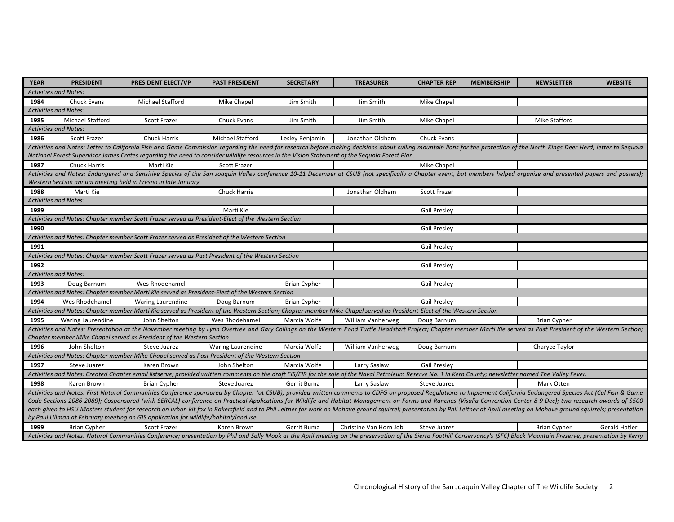| <b>YEAR</b>                                                                                                                                                                                                                   | <b>PRESIDENT</b>                                                                                  | PRESIDENT ELECT/VP                                                                                 | <b>PAST PRESIDENT</b>    | <b>SECRETARY</b>    | <b>TREASURER</b>                                                                                                                                                                                                             | <b>CHAPTER REP</b>  | <b>MEMBERSHIP</b> | <b>NEWSLETTER</b>    | <b>WEBSITE</b>       |  |
|-------------------------------------------------------------------------------------------------------------------------------------------------------------------------------------------------------------------------------|---------------------------------------------------------------------------------------------------|----------------------------------------------------------------------------------------------------|--------------------------|---------------------|------------------------------------------------------------------------------------------------------------------------------------------------------------------------------------------------------------------------------|---------------------|-------------------|----------------------|----------------------|--|
| <b>Activities and Notes:</b>                                                                                                                                                                                                  |                                                                                                   |                                                                                                    |                          |                     |                                                                                                                                                                                                                              |                     |                   |                      |                      |  |
| 1984                                                                                                                                                                                                                          | Chuck Evans                                                                                       | Michael Stafford                                                                                   | Mike Chapel              | Jim Smith           | Jim Smith                                                                                                                                                                                                                    | Mike Chapel         |                   |                      |                      |  |
| <b>Activities and Notes:</b>                                                                                                                                                                                                  |                                                                                                   |                                                                                                    |                          |                     |                                                                                                                                                                                                                              |                     |                   |                      |                      |  |
| 1985                                                                                                                                                                                                                          | Michael Stafford                                                                                  | Scott Frazer                                                                                       | Chuck Evans              | Jim Smith           | Jim Smith                                                                                                                                                                                                                    | Mike Chapel         |                   | <b>Mike Stafford</b> |                      |  |
|                                                                                                                                                                                                                               | <b>Activities and Notes:</b>                                                                      |                                                                                                    |                          |                     |                                                                                                                                                                                                                              |                     |                   |                      |                      |  |
| 1986                                                                                                                                                                                                                          | Scott Frazer                                                                                      | Chuck Harris                                                                                       | Michael Stafford         | Lesley Benjamin     | Jonathan Oldham                                                                                                                                                                                                              | Chuck Evans         |                   |                      |                      |  |
|                                                                                                                                                                                                                               |                                                                                                   |                                                                                                    |                          |                     | Activities and Notes: Letter to California Fish and Game Commission regarding the need for research before making decisions about culling mountain lions for the protection of the North Kings Deer Herd; letter to Sequoia  |                     |                   |                      |                      |  |
|                                                                                                                                                                                                                               |                                                                                                   |                                                                                                    |                          |                     | National Forest Supervisor James Crates regarding the need to consider wildlife resources in the Vision Statement of the Sequoia Forest Plan.                                                                                |                     |                   |                      |                      |  |
| 1987                                                                                                                                                                                                                          | <b>Chuck Harris</b>                                                                               | Marti Kie                                                                                          | <b>Scott Frazer</b>      |                     |                                                                                                                                                                                                                              | Mike Chapel         |                   |                      |                      |  |
|                                                                                                                                                                                                                               |                                                                                                   |                                                                                                    |                          |                     | Activities and Notes: Endangered and Sensitive Species of the San Joaquin Valley conference 10-11 December at CSUB (not specifically a Chapter event, but members helped organize and presented papers and posters);         |                     |                   |                      |                      |  |
|                                                                                                                                                                                                                               |                                                                                                   | Western Section annual meeting held in Fresno in late January.                                     |                          |                     |                                                                                                                                                                                                                              |                     |                   |                      |                      |  |
| 1988                                                                                                                                                                                                                          | Marti Kie                                                                                         |                                                                                                    | <b>Chuck Harris</b>      |                     | Jonathan Oldham                                                                                                                                                                                                              | <b>Scott Frazer</b> |                   |                      |                      |  |
|                                                                                                                                                                                                                               | <b>Activities and Notes:</b>                                                                      |                                                                                                    |                          |                     |                                                                                                                                                                                                                              |                     |                   |                      |                      |  |
| 1989                                                                                                                                                                                                                          |                                                                                                   |                                                                                                    | Marti Kie                |                     |                                                                                                                                                                                                                              | <b>Gail Presley</b> |                   |                      |                      |  |
|                                                                                                                                                                                                                               |                                                                                                   | Activities and Notes: Chapter member Scott Frazer served as President-Elect of the Western Section |                          |                     |                                                                                                                                                                                                                              |                     |                   |                      |                      |  |
| 1990                                                                                                                                                                                                                          |                                                                                                   |                                                                                                    |                          |                     |                                                                                                                                                                                                                              | <b>Gail Presley</b> |                   |                      |                      |  |
|                                                                                                                                                                                                                               |                                                                                                   | Activities and Notes: Chapter member Scott Frazer served as President of the Western Section       |                          |                     |                                                                                                                                                                                                                              |                     |                   |                      |                      |  |
| 1991                                                                                                                                                                                                                          |                                                                                                   |                                                                                                    |                          |                     |                                                                                                                                                                                                                              | <b>Gail Presley</b> |                   |                      |                      |  |
|                                                                                                                                                                                                                               | Activities and Notes: Chapter member Scott Frazer served as Past President of the Western Section |                                                                                                    |                          |                     |                                                                                                                                                                                                                              |                     |                   |                      |                      |  |
| 1992                                                                                                                                                                                                                          |                                                                                                   |                                                                                                    |                          |                     |                                                                                                                                                                                                                              | <b>Gail Presley</b> |                   |                      |                      |  |
|                                                                                                                                                                                                                               | <b>Activities and Notes:</b>                                                                      |                                                                                                    |                          |                     |                                                                                                                                                                                                                              |                     |                   |                      |                      |  |
| 1993                                                                                                                                                                                                                          | Doug Barnum                                                                                       | Wes Rhodehamel                                                                                     |                          | <b>Brian Cypher</b> |                                                                                                                                                                                                                              | <b>Gail Presley</b> |                   |                      |                      |  |
|                                                                                                                                                                                                                               |                                                                                                   | Activities and Notes: Chapter member Marti Kie served as President-Elect of the Western Section    |                          |                     |                                                                                                                                                                                                                              |                     |                   |                      |                      |  |
| 1994                                                                                                                                                                                                                          | Wes Rhodehamel                                                                                    | <b>Waring Laurendine</b>                                                                           | Doug Barnum              | <b>Brian Cypher</b> |                                                                                                                                                                                                                              | <b>Gail Presley</b> |                   |                      |                      |  |
|                                                                                                                                                                                                                               |                                                                                                   |                                                                                                    |                          |                     | Activities and Notes: Chapter member Marti Kie served as President of the Western Section; Chapter member Mike Chapel served as President-Elect of the Western Section                                                       |                     |                   |                      |                      |  |
| 1995                                                                                                                                                                                                                          | <b>Waring Laurendine</b>                                                                          | John Shelton                                                                                       | Wes Rhodehamel           | Marcia Wolfe        | William Vanherweg                                                                                                                                                                                                            | Doug Barnum         |                   | <b>Brian Cypher</b>  |                      |  |
|                                                                                                                                                                                                                               |                                                                                                   |                                                                                                    |                          |                     | Activities and Notes: Presentation at the November meeting by Lynn Overtree and Gary Collings on the Western Pond Turtle Headstart Project; Chapter member Marti Kie served as Past President of the Western Section;        |                     |                   |                      |                      |  |
|                                                                                                                                                                                                                               |                                                                                                   | Chapter member Mike Chapel served as President of the Western Section                              |                          |                     |                                                                                                                                                                                                                              |                     |                   |                      |                      |  |
| 1996                                                                                                                                                                                                                          | John Shelton                                                                                      | Steve Juarez                                                                                       | <b>Waring Laurendine</b> | Marcia Wolfe        | William Vanherweg                                                                                                                                                                                                            | Doug Barnum         |                   | Charyce Taylor       |                      |  |
|                                                                                                                                                                                                                               |                                                                                                   | Activities and Notes: Chapter member Mike Chapel served as Past President of the Western Section   |                          |                     |                                                                                                                                                                                                                              |                     |                   |                      |                      |  |
| 1997                                                                                                                                                                                                                          | Steve Juarez                                                                                      | Karen Brown                                                                                        | John Shelton             | Marcia Wolfe        | Larry Saslaw                                                                                                                                                                                                                 | <b>Gail Presley</b> |                   |                      |                      |  |
| Activities and Notes: Created Chapter email listserve; provided written comments on the draft EIS/EIR for the sale of the Naval Petroleum Reserve No. 1 in Kern County; newsletter named The Valley Fever.                    |                                                                                                   |                                                                                                    |                          |                     |                                                                                                                                                                                                                              |                     |                   |                      |                      |  |
| 1998                                                                                                                                                                                                                          | Karen Brown                                                                                       | <b>Brian Cypher</b>                                                                                | Steve Juarez             | Gerrit Buma         | Larry Saslaw                                                                                                                                                                                                                 | Steve Juarez        |                   | Mark Otten           |                      |  |
| Activities and Notes: First Natural Communities Conference sponsored by Chapter (at CSUB); provided written comments to CDFG on proposed Regulations to Implement California Endangered Species Act (Cal Fish & Game          |                                                                                                   |                                                                                                    |                          |                     |                                                                                                                                                                                                                              |                     |                   |                      |                      |  |
| Code Sections 2086-2089); Cosponsored (with SERCAL) conference on Practical Applications for Wildlife and Habitat Management on Farms and Ranches (Visalia Convention Center 8-9 Dec); two research awards of \$500           |                                                                                                   |                                                                                                    |                          |                     |                                                                                                                                                                                                                              |                     |                   |                      |                      |  |
| each given to HSU Masters student for research on urban kit fox in Bakersfield and to Phil Leitner for work on Mohave ground squirrel; presentation by Phil Leitner at April meeting on Mohave ground squirrels; presentation |                                                                                                   |                                                                                                    |                          |                     |                                                                                                                                                                                                                              |                     |                   |                      |                      |  |
|                                                                                                                                                                                                                               |                                                                                                   | by Paul Ullman at February meeting on GIS application for wildlife/habitat/landuse.                |                          |                     |                                                                                                                                                                                                                              |                     |                   |                      |                      |  |
| 1999                                                                                                                                                                                                                          | <b>Brian Cypher</b>                                                                               | <b>Scott Frazer</b>                                                                                | Karen Brown              | Gerrit Buma         | Christine Van Horn Job                                                                                                                                                                                                       | Steve Juarez        |                   | <b>Brian Cypher</b>  | <b>Gerald Hatler</b> |  |
|                                                                                                                                                                                                                               |                                                                                                   |                                                                                                    |                          |                     | Activities and Notes: Natural Communities Conference; presentation by Phil and Sally Mook at the April meeting on the preservation of the Sierra Foothill Conservancy's (SFC) Black Mountain Preserve; presentation by Kerry |                     |                   |                      |                      |  |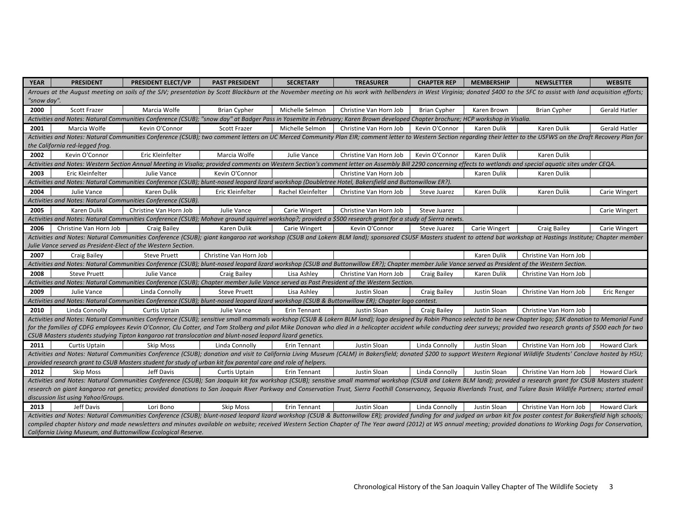| <b>YEAR</b>                                                                                                                                                                                                                                                      | <b>PRESIDENT</b>                                                                                                                                                                                                                                                                                                                                                                                                                                 | <b>PRESIDENT ELECT/VP</b>                                                                                                                                                                                                  | <b>PAST PRESIDENT</b>  | <b>SECRETARY</b>   | <b>TREASURER</b>       | <b>CHAPTER REP</b>  | <b>MEMBERSHIP</b>  | <b>NEWSLETTER</b>      | <b>WEBSITE</b>       |
|------------------------------------------------------------------------------------------------------------------------------------------------------------------------------------------------------------------------------------------------------------------|--------------------------------------------------------------------------------------------------------------------------------------------------------------------------------------------------------------------------------------------------------------------------------------------------------------------------------------------------------------------------------------------------------------------------------------------------|----------------------------------------------------------------------------------------------------------------------------------------------------------------------------------------------------------------------------|------------------------|--------------------|------------------------|---------------------|--------------------|------------------------|----------------------|
| Arroues at the Auqust meeting on soils of the SJV; presentation by Scott Blackburn at the November meeting on his work with hellbenders in West Virginia; donated \$400 to the SFC to assist with land acquisition efforts;                                      |                                                                                                                                                                                                                                                                                                                                                                                                                                                  |                                                                                                                                                                                                                            |                        |                    |                        |                     |                    |                        |                      |
| "snow day".                                                                                                                                                                                                                                                      |                                                                                                                                                                                                                                                                                                                                                                                                                                                  |                                                                                                                                                                                                                            |                        |                    |                        |                     |                    |                        |                      |
| 2000                                                                                                                                                                                                                                                             | Scott Frazer                                                                                                                                                                                                                                                                                                                                                                                                                                     | Marcia Wolfe                                                                                                                                                                                                               | <b>Brian Cypher</b>    | Michelle Selmon    | Christine Van Horn Job | <b>Brian Cypher</b> | Karen Brown        | <b>Brian Cypher</b>    | <b>Gerald Hatler</b> |
|                                                                                                                                                                                                                                                                  |                                                                                                                                                                                                                                                                                                                                                                                                                                                  | Activities and Notes: Natural Communities Conference (CSUB); "snow day" at Badger Pass in Yosemite in February; Karen Brown developed Chapter brochure; HCP workshop in Visalia.                                           |                        |                    |                        |                     |                    |                        |                      |
| 2001                                                                                                                                                                                                                                                             | Marcia Wolfe                                                                                                                                                                                                                                                                                                                                                                                                                                     | Kevin O'Connor                                                                                                                                                                                                             | Scott Frazer           | Michelle Selmon    | Christine Van Horn Job | Kevin O'Connor      | Karen Dulik        | Karen Dulik            | Gerald Hatler        |
|                                                                                                                                                                                                                                                                  |                                                                                                                                                                                                                                                                                                                                                                                                                                                  | Activities and Notes: Natural Communities Conference (CSUB); two comment letters on UC Merced Community Plan EIR; comment letter to Western Section regarding their letter to the USFWS on the Draft Recovery Plan for     |                        |                    |                        |                     |                    |                        |                      |
|                                                                                                                                                                                                                                                                  | the California red-legged frog.                                                                                                                                                                                                                                                                                                                                                                                                                  |                                                                                                                                                                                                                            |                        |                    |                        |                     |                    |                        |                      |
| 2002                                                                                                                                                                                                                                                             | Kevin O'Connor                                                                                                                                                                                                                                                                                                                                                                                                                                   | Eric Kleinfelter                                                                                                                                                                                                           | Marcia Wolfe           | Julie Vance        | Christine Van Horn Job | Kevin O'Connor      | Karen Dulik        | Karen Dulik            |                      |
|                                                                                                                                                                                                                                                                  |                                                                                                                                                                                                                                                                                                                                                                                                                                                  | Activities and Notes: Western Section Annual Meeting in Visalia; provided comments on Western Section's comment letter on Assembly Bill 2290 concerning effects to wetlands and special aquatic sites under CEQA.          |                        |                    |                        |                     |                    |                        |                      |
| 2003                                                                                                                                                                                                                                                             | Eric Kleinfelter                                                                                                                                                                                                                                                                                                                                                                                                                                 | Julie Vance                                                                                                                                                                                                                | Kevin O'Connor         |                    | Christine Van Horn Job |                     | Karen Dulik        | Karen Dulik            |                      |
|                                                                                                                                                                                                                                                                  |                                                                                                                                                                                                                                                                                                                                                                                                                                                  | Activities and Notes: Natural Communities Conference (CSUB); blunt-nosed leopard lizard workshop (Doubletree Hotel, Bakersfield and Buttonwillow ER?).                                                                     |                        |                    |                        |                     |                    |                        |                      |
| 2004                                                                                                                                                                                                                                                             | Julie Vance                                                                                                                                                                                                                                                                                                                                                                                                                                      | Karen Dulik                                                                                                                                                                                                                | Eric Kleinfelter       | Rachel Kleinfelter | Christine Van Horn Job | Steve Juarez        | Karen Dulik        | Karen Dulik            | Carie Wingert        |
|                                                                                                                                                                                                                                                                  |                                                                                                                                                                                                                                                                                                                                                                                                                                                  | Activities and Notes: Natural Communities Conference (CSUB).                                                                                                                                                               |                        |                    |                        |                     |                    |                        |                      |
| 2005                                                                                                                                                                                                                                                             | Karen Dulik                                                                                                                                                                                                                                                                                                                                                                                                                                      | Christine Van Horn Job                                                                                                                                                                                                     | Julie Vance            | Carie Wingert      | Christine Van Horn Job | Steve Juarez        |                    |                        | Carie Wingert        |
|                                                                                                                                                                                                                                                                  |                                                                                                                                                                                                                                                                                                                                                                                                                                                  | Activities and Notes: Natural Communities Conference (CSUB); Mohave ground squirrel workshop?; provided a \$500 research grant for a study of Sierra newts.                                                                |                        |                    |                        |                     |                    |                        |                      |
| 2006                                                                                                                                                                                                                                                             | Christine Van Horn Job                                                                                                                                                                                                                                                                                                                                                                                                                           | <b>Craig Bailey</b>                                                                                                                                                                                                        | Karen Dulik            | Carie Wingert      | Kevin O'Connor         | Steve Juarez        | Carie Wingert      | <b>Craig Bailey</b>    | Carie Wingert        |
|                                                                                                                                                                                                                                                                  |                                                                                                                                                                                                                                                                                                                                                                                                                                                  | Activities and Notes: Natural Communities Conference (CSUB); giant kangaroo rat workshop (CSUB and Lokern BLM land); sponsored CSUSF Masters student to attend bat workshop at Hastings Institute; Chapter member          |                        |                    |                        |                     |                    |                        |                      |
|                                                                                                                                                                                                                                                                  |                                                                                                                                                                                                                                                                                                                                                                                                                                                  | Julie Vance served as President-Elect of the Western Section.                                                                                                                                                              |                        |                    |                        |                     |                    |                        |                      |
| 2007                                                                                                                                                                                                                                                             | <b>Craig Bailey</b>                                                                                                                                                                                                                                                                                                                                                                                                                              | <b>Steve Pruett</b>                                                                                                                                                                                                        | Christine Van Horn Job |                    |                        |                     | <b>Karen Dulik</b> | Christine Van Horn Job |                      |
|                                                                                                                                                                                                                                                                  |                                                                                                                                                                                                                                                                                                                                                                                                                                                  | Activities and Notes: Natural Communities Conference (CSUB); blunt-nosed leopard lizard workshop (CSUB and Buttonwillow ER?); Chapter member Julie Vance served as President of the Western Section.                       |                        |                    |                        |                     |                    |                        |                      |
| 2008                                                                                                                                                                                                                                                             | <b>Steve Pruett</b>                                                                                                                                                                                                                                                                                                                                                                                                                              | Julie Vance                                                                                                                                                                                                                | <b>Craig Bailey</b>    | Lisa Ashley        | Christine Van Horn Job | <b>Craig Bailey</b> | Karen Dulik        | Christine Van Horn Job |                      |
|                                                                                                                                                                                                                                                                  |                                                                                                                                                                                                                                                                                                                                                                                                                                                  | Activities and Notes: Natural Communities Conference (CSUB); Chapter member Julie Vance served as Past President of the Western Section.                                                                                   |                        |                    |                        |                     |                    |                        |                      |
| 2009                                                                                                                                                                                                                                                             | Julie Vance                                                                                                                                                                                                                                                                                                                                                                                                                                      | Linda Connolly                                                                                                                                                                                                             | <b>Steve Pruett</b>    | Lisa Ashley        | Justin Sloan           | <b>Craig Bailey</b> | Justin Sloan       | Christine Van Horn Job | Eric Renger          |
|                                                                                                                                                                                                                                                                  |                                                                                                                                                                                                                                                                                                                                                                                                                                                  | Activities and Notes: Natural Communities Conference (CSUB); blunt-nosed leopard lizard workshop (CSUB & Buttonwillow ER); Chapter logo contest.                                                                           |                        |                    |                        |                     |                    |                        |                      |
| 2010                                                                                                                                                                                                                                                             | Linda Connolly                                                                                                                                                                                                                                                                                                                                                                                                                                   | <b>Curtis Uptain</b>                                                                                                                                                                                                       | Julie Vance            | Erin Tennant       | Justin Sloan           | <b>Craig Bailey</b> | Justin Sloan       | Christine Van Horn Job |                      |
|                                                                                                                                                                                                                                                                  |                                                                                                                                                                                                                                                                                                                                                                                                                                                  | Activities and Notes: Natural Communities Conference (CSUB); sensitive small mammals workshop (CSUB & Lokern BLM land); logo designed by Robin Phanco selected to be new Chapter logo; \$3K donation to Memorial Fund      |                        |                    |                        |                     |                    |                        |                      |
|                                                                                                                                                                                                                                                                  |                                                                                                                                                                                                                                                                                                                                                                                                                                                  | for the families of CDFG employees Kevin O'Connor, Clu Cotter, and Tom Stolberg and pilot Mike Donovan who died in a helicopter accident while conducting deer surveys; provided two research grants of \$500 each for two |                        |                    |                        |                     |                    |                        |                      |
|                                                                                                                                                                                                                                                                  |                                                                                                                                                                                                                                                                                                                                                                                                                                                  | CSUB Masters students studying Tipton kangaroo rat translocation and blunt-nosed leopard lizard genetics.                                                                                                                  |                        |                    |                        |                     |                    |                        |                      |
| 2011                                                                                                                                                                                                                                                             | <b>Curtis Uptain</b>                                                                                                                                                                                                                                                                                                                                                                                                                             | <b>Skip Moss</b>                                                                                                                                                                                                           | Linda Connolly         | Erin Tennant       | Justin Sloan           | Linda Connolly      | Justin Sloan       | Christine Van Horn Job | <b>Howard Clark</b>  |
|                                                                                                                                                                                                                                                                  | Activities and Notes: Natural Communities Conference (CSUB); donation and visit to California Living Museum (CALM) in Bakersfield; donated \$200 to support Western Regional Wildlife Students' Conclave hosted by HSU;                                                                                                                                                                                                                          |                                                                                                                                                                                                                            |                        |                    |                        |                     |                    |                        |                      |
|                                                                                                                                                                                                                                                                  |                                                                                                                                                                                                                                                                                                                                                                                                                                                  | provided research grant to CSUB Masters student for study of urban kit fox parental care and role of helpers.                                                                                                              |                        |                    |                        |                     |                    |                        |                      |
| 2012                                                                                                                                                                                                                                                             | <b>Skip Moss</b>                                                                                                                                                                                                                                                                                                                                                                                                                                 | Jeff Davis                                                                                                                                                                                                                 | <b>Curtis Uptain</b>   | Erin Tennant       | Justin Sloan           | Linda Connolly      | Justin Sloan       | Christine Van Horn Job | <b>Howard Clark</b>  |
| Activities and Notes: Natural Communities Conference (CSUB); San Joaquin kit fox workshop (CSUB); sensitive small mammal workshop (CSUB and Lokern BLM land); provided a research grant for CSUB Masters student                                                 |                                                                                                                                                                                                                                                                                                                                                                                                                                                  |                                                                                                                                                                                                                            |                        |                    |                        |                     |                    |                        |                      |
| research on giant kangaroo rat genetics; provided donations to San Joaquin River Parkway and Conservation Trust, Sierra Foothill Conservancy, Sequoia Riverlands Trust, and Tulare Basin Wildlife Partners; started email<br>discussion list using Yahoo!Groups. |                                                                                                                                                                                                                                                                                                                                                                                                                                                  |                                                                                                                                                                                                                            |                        |                    |                        |                     |                    |                        |                      |
|                                                                                                                                                                                                                                                                  | Jeff Davis                                                                                                                                                                                                                                                                                                                                                                                                                                       |                                                                                                                                                                                                                            |                        |                    |                        |                     |                    |                        |                      |
| 2013                                                                                                                                                                                                                                                             |                                                                                                                                                                                                                                                                                                                                                                                                                                                  | Lori Bono                                                                                                                                                                                                                  | Skip Moss              | Erin Tennant       | Justin Sloan           | Linda Connolly      | Justin Sloan       | Christine Van Horn Job | <b>Howard Clark</b>  |
|                                                                                                                                                                                                                                                                  | Activities and Notes: Natural Communities Conference (CSUB); blunt-nosed leopard lizard workshop (CSUB & Buttonwillow ER); provided funding for and judged an urban kit fox poster contest for Bakersfield high schools;<br>compiled chapter history and made newsletters and minutes available on website; received Western Section Chapter of The Year award (2012) at WS annual meeting; provided donations to Working Dogs for Conservation, |                                                                                                                                                                                                                            |                        |                    |                        |                     |                    |                        |                      |
|                                                                                                                                                                                                                                                                  | California Living Museum, and Buttonwillow Ecological Reserve.                                                                                                                                                                                                                                                                                                                                                                                   |                                                                                                                                                                                                                            |                        |                    |                        |                     |                    |                        |                      |